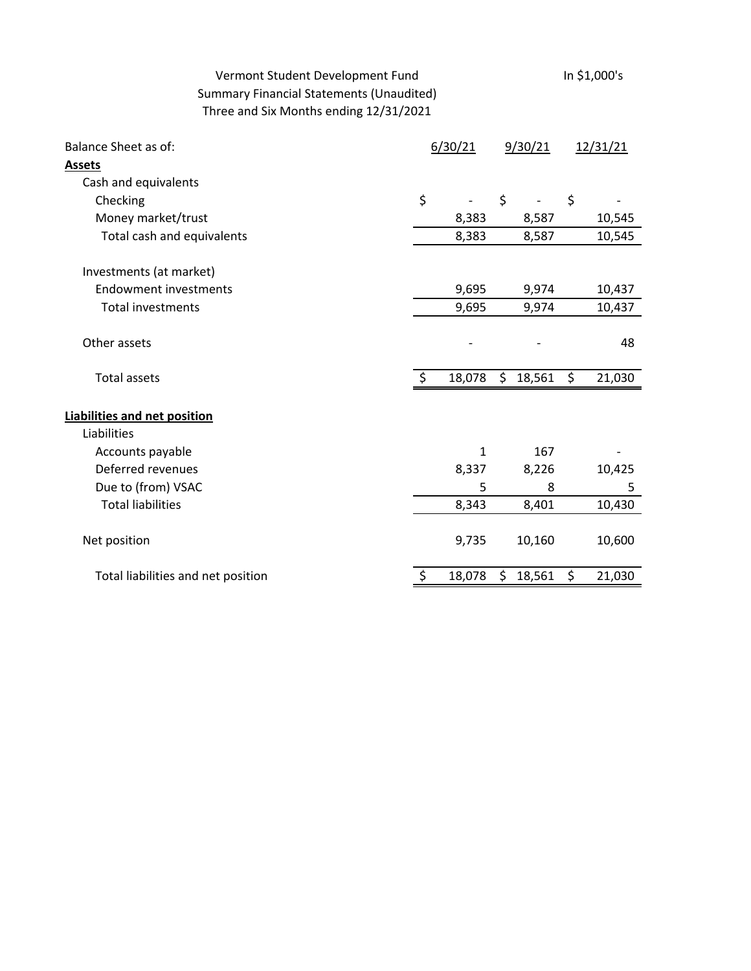# Vermont Student Development Fund<br>In \$1,000's Summary Financial Statements (Unaudited) Three and Six Months ending 12/31/2021

| <b>Balance Sheet as of:</b>         | 6/30/21 |              | 9/30/21 |        | 12/31/21 |        |
|-------------------------------------|---------|--------------|---------|--------|----------|--------|
| <b>Assets</b>                       |         |              |         |        |          |        |
| Cash and equivalents                |         |              |         |        |          |        |
| Checking                            | \$      |              | \$      |        | \$       |        |
| Money market/trust                  |         | 8,383        |         | 8,587  |          | 10,545 |
| Total cash and equivalents          |         | 8,383        |         | 8,587  |          | 10,545 |
| Investments (at market)             |         |              |         |        |          |        |
| <b>Endowment investments</b>        |         | 9,695        |         | 9,974  |          | 10,437 |
| <b>Total investments</b>            |         | 9,695        |         | 9,974  |          | 10,437 |
| Other assets                        |         |              |         |        |          | 48     |
| <b>Total assets</b>                 | $\zeta$ | 18,078       | \$      | 18,561 | \$       | 21,030 |
| <b>Liabilities and net position</b> |         |              |         |        |          |        |
| Liabilities                         |         |              |         |        |          |        |
| Accounts payable                    |         | $\mathbf{1}$ |         | 167    |          |        |
| Deferred revenues                   |         | 8,337        |         | 8,226  |          | 10,425 |
| Due to (from) VSAC                  |         | 5            |         | 8      |          | 5      |
| <b>Total liabilities</b>            |         | 8,343        |         | 8,401  |          | 10,430 |
| Net position                        |         | 9,735        |         | 10,160 |          | 10,600 |
| Total liabilities and net position  |         | 18,078       | \$      | 18,561 | \$       | 21,030 |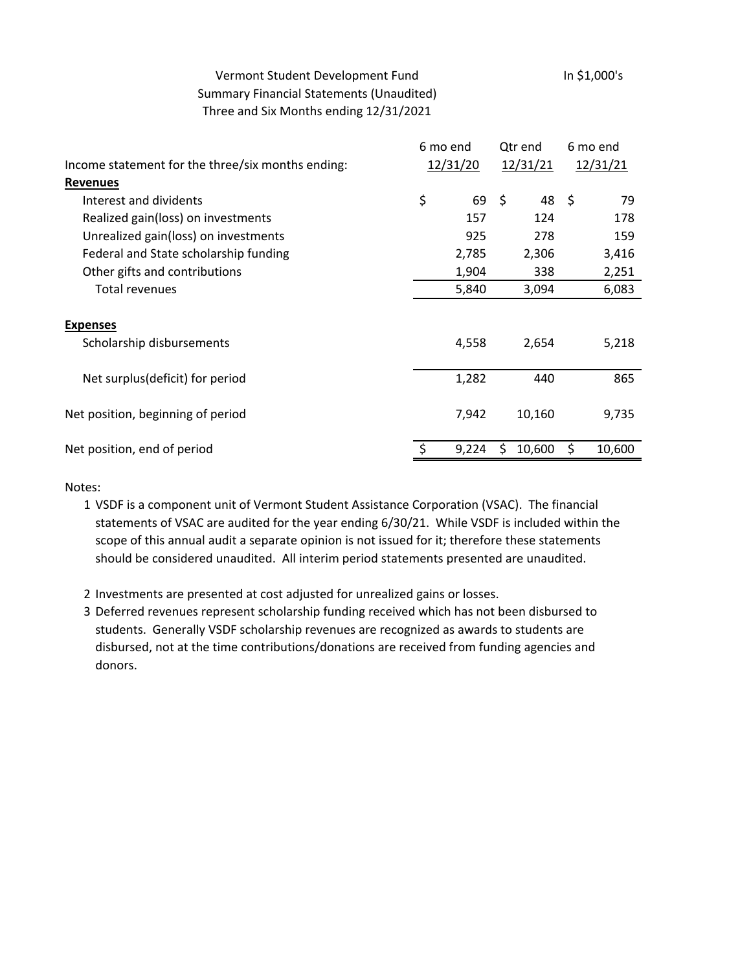## Vermont Student Development Fund<br>In \$1,000's Summary Financial Statements (Unaudited) Three and Six Months ending 12/31/2021

|                                                   | 6 mo end |          | Qtr end                  |      | 6 mo end |  |
|---------------------------------------------------|----------|----------|--------------------------|------|----------|--|
| Income statement for the three/six months ending: |          | 12/31/20 |                          |      | 12/31/21 |  |
| <b>Revenues</b>                                   |          |          |                          |      |          |  |
| Interest and dividents                            | \$       | 69       | $\ddot{\varsigma}$<br>48 | - \$ | 79       |  |
| Realized gain(loss) on investments                |          | 157      | 124                      |      | 178      |  |
| Unrealized gain(loss) on investments              |          | 925      | 278                      |      | 159      |  |
| Federal and State scholarship funding             |          | 2,785    | 2,306                    |      | 3,416    |  |
| Other gifts and contributions                     |          | 1,904    | 338                      |      | 2,251    |  |
| Total revenues                                    |          | 5,840    | 3,094                    |      | 6,083    |  |
|                                                   |          |          |                          |      |          |  |
| <b>Expenses</b>                                   |          |          |                          |      |          |  |
| Scholarship disbursements                         |          | 4,558    | 2,654                    |      | 5,218    |  |
|                                                   |          |          |                          |      |          |  |
| Net surplus(deficit) for period                   |          | 1,282    | 440                      |      | 865      |  |
|                                                   |          |          |                          |      |          |  |
| Net position, beginning of period                 |          | 7,942    | 10,160                   |      | 9,735    |  |
|                                                   |          |          |                          |      |          |  |
| Net position, end of period                       |          | 9,224    | 10,600<br>Ś.             | \$   | 10,600   |  |
|                                                   |          |          |                          |      |          |  |

Notes:

- 1 VSDF is a component unit of Vermont Student Assistance Corporation (VSAC). The financial statements of VSAC are audited for the year ending 6/30/21. While VSDF is included within the scope of this annual audit a separate opinion is not issued for it; therefore these statements should be considered unaudited. All interim period statements presented are unaudited.
- 2 Investments are presented at cost adjusted for unrealized gains or losses.
- 3 Deferred revenues represent scholarship funding received which has not been disbursed to students. Generally VSDF scholarship revenues are recognized as awards to students are disbursed, not at the time contributions/donations are received from funding agencies and donors.